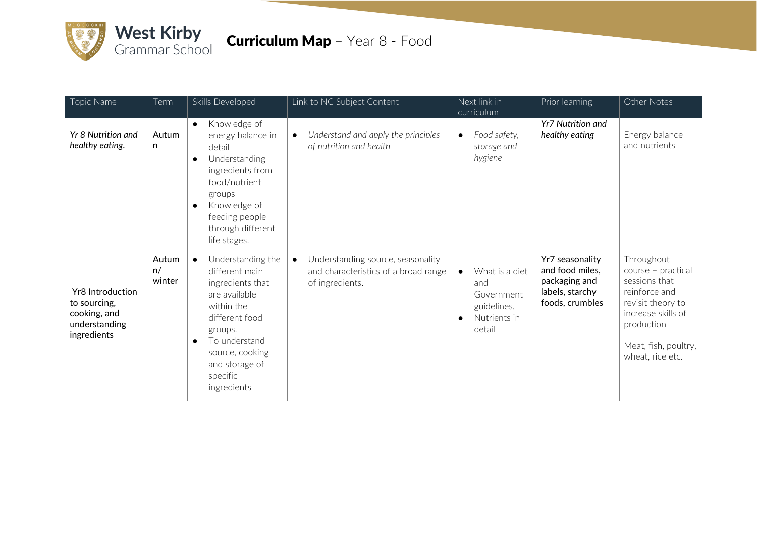

## **Curriculum Map** - Year 8 - Food

| Topic Name                                                                              | Term                  | Skills Developed                                                                                                                                                                                                               | Link to NC Subject Content                                                                                | Next link in<br>curriculum                                                                             | Prior learning                                                                            | Other Notes                                                                                                                                                             |
|-----------------------------------------------------------------------------------------|-----------------------|--------------------------------------------------------------------------------------------------------------------------------------------------------------------------------------------------------------------------------|-----------------------------------------------------------------------------------------------------------|--------------------------------------------------------------------------------------------------------|-------------------------------------------------------------------------------------------|-------------------------------------------------------------------------------------------------------------------------------------------------------------------------|
| Yr 8 Nutrition and<br>healthy eating.                                                   | Autum<br>n            | Knowledge of<br>$\bullet$<br>energy balance in<br>detail<br>Understanding<br>$\bullet$<br>ingredients from<br>food/nutrient<br>groups<br>Knowledge of<br>$\bullet$<br>feeding people<br>through different<br>life stages.      | Understand and apply the principles<br>$\bullet$<br>of nutrition and health                               | Food safety,<br>$\bullet$<br>storage and<br>hygiene                                                    | <b>Yr7 Nutrition and</b><br>healthy eating                                                | Energy balance<br>and nutrients                                                                                                                                         |
| <b>Yr8</b> Introduction<br>to sourcing,<br>cooking, and<br>understanding<br>ingredients | Autum<br>n/<br>winter | Understanding the<br>$\bullet$<br>different main<br>ingredients that<br>are available<br>within the<br>different food<br>groups.<br>To understand<br>$\bullet$<br>source, cooking<br>and storage of<br>specific<br>ingredients | Understanding source, seasonality<br>$\bullet$<br>and characteristics of a broad range<br>of ingredients. | What is a diet<br>$\bullet$<br>and<br>Government<br>guidelines.<br>Nutrients in<br>$\bullet$<br>detail | Yr7 seasonality<br>and food miles,<br>packaging and<br>labels, starchy<br>foods, crumbles | Throughout<br>course - practical<br>sessions that<br>reinforce and<br>revisit theory to<br>increase skills of<br>production<br>Meat, fish, poultry,<br>wheat, rice etc. |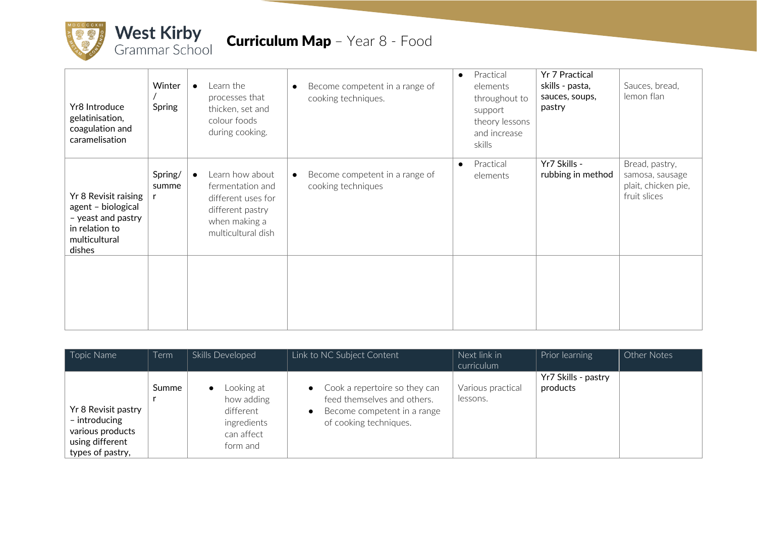

| Yr8 Introduce<br>gelatinisation,<br>coagulation and<br>caramelisation                                         | Winter<br>Spring | $\bullet$ | Learn the<br>processes that<br>thicken, set and<br>colour foods<br>during cooking.                                   | Become competent in a range of<br>$\bullet$<br>cooking techniques. | $\bullet$ | Practical<br>elements<br>throughout to<br>support<br>theory lessons<br>and increase<br>skills | <b>Yr 7 Practical</b><br>skills - pasta,<br>sauces, soups,<br>pastry | Sauces, bread,<br>lemon flan                                             |
|---------------------------------------------------------------------------------------------------------------|------------------|-----------|----------------------------------------------------------------------------------------------------------------------|--------------------------------------------------------------------|-----------|-----------------------------------------------------------------------------------------------|----------------------------------------------------------------------|--------------------------------------------------------------------------|
| Yr 8 Revisit raising<br>agent - biological<br>- yeast and pastry<br>in relation to<br>multicultural<br>dishes | Spring/<br>summe | $\bullet$ | Learn how about<br>fermentation and<br>different uses for<br>different pastry<br>when making a<br>multicultural dish | Become competent in a range of<br>$\bullet$<br>cooking techniques  | $\bullet$ | Practical<br>elements                                                                         | Yr7 Skills -<br>rubbing in method                                    | Bread, pastry,<br>samosa, sausage<br>plait, chicken pie,<br>fruit slices |
|                                                                                                               |                  |           |                                                                                                                      |                                                                    |           |                                                                                               |                                                                      |                                                                          |

| Topic Name          | <b>Term</b> | Skills Developed | Link to NC Subject Content                 | Next link in      | Prior learning      | Other Notes |
|---------------------|-------------|------------------|--------------------------------------------|-------------------|---------------------|-------------|
|                     |             |                  |                                            | curriculum        |                     |             |
|                     |             |                  |                                            |                   | Yr7 Skills - pastry |             |
|                     | Summe       | Looking at       | Cook a repertoire so they can<br>$\bullet$ | Various practical | products            |             |
|                     |             | how adding       | feed themselves and others.                | lessons.          |                     |             |
| Yr 8 Revisit pastry |             | different        | Become competent in a range<br>$\bullet$   |                   |                     |             |
| - introducing       |             | ingredients      | of cooking techniques.                     |                   |                     |             |
| various products    |             | can affect       |                                            |                   |                     |             |
| using different     |             | form and         |                                            |                   |                     |             |
| types of pastry,    |             |                  |                                            |                   |                     |             |